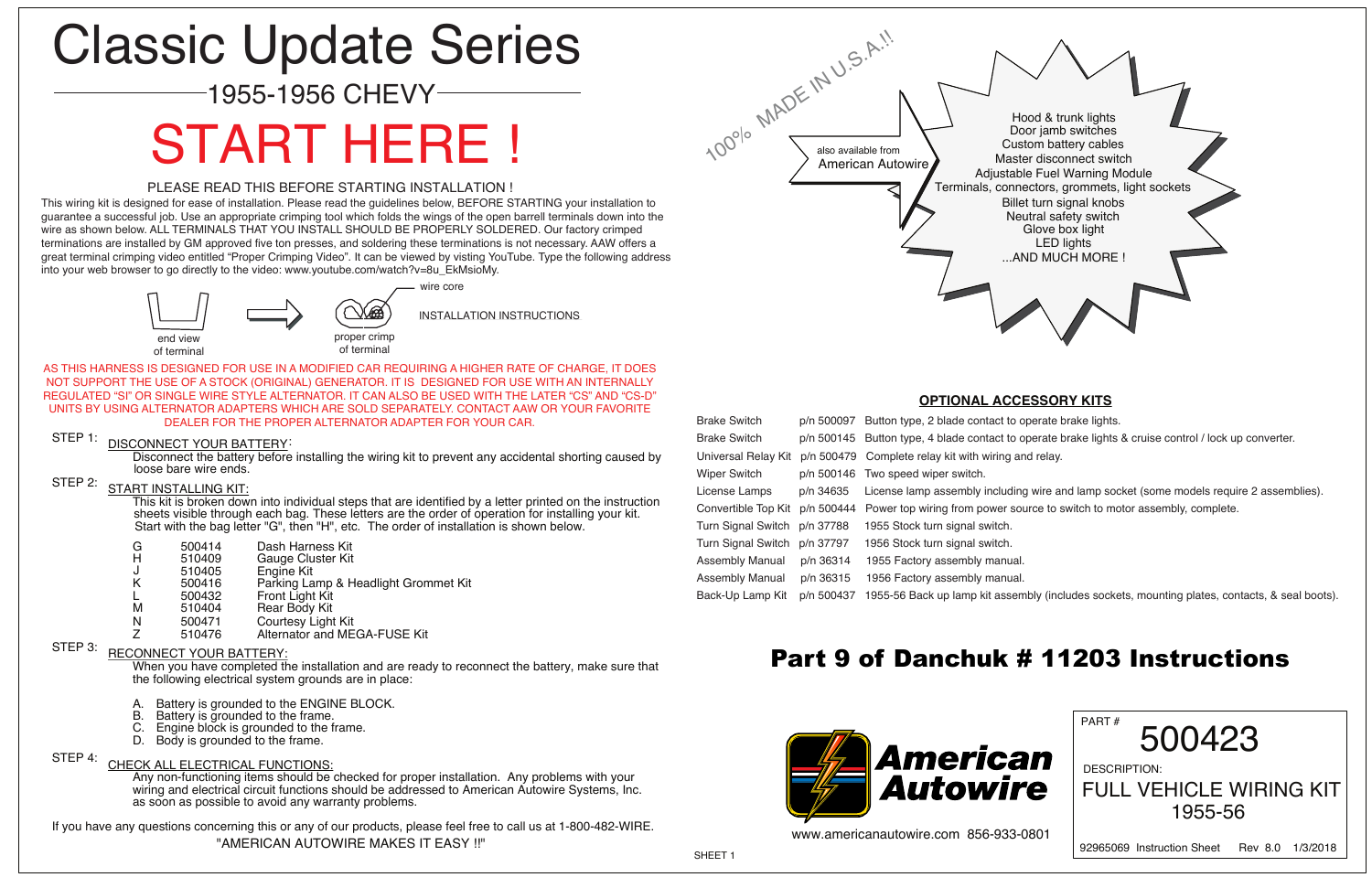Disconnect the battery before installing the wiring kit to prevent any accidental shorting caused by loose bare wire ends.

### STEP 2: START INSTALLING KIT:

This kit is broken down into individual steps that are identified by a letter printed on the instruction sheets visible through each bag. These letters are the order of operation for installing your kit. Start with the bag letter "G", then "H", etc. The order of installation is shown below.

- G 500414 Dash Harness Kit<br>H 510409 Gauge Cluster Kit
- 510409 Gauge Cluster Kit<br>510405 Engine Kit
- J 510405 Engine Kit<br>K 500416 Parking Lai
- 500416 Parking Lamp & Headlight Grommet Kit<br>500432 Front Light Kit
- L 500432 Front Light Kit
- 510404 Rear Body Kit<br>500471 Courtesy Light
- N 500471 Courtesy Light Kit<br>Z 510476 Alternator and ME
- Alternator and MEGA-FUSE Kit

## STEP 3: RECONNECT YOUR BATTERY:

- A. Battery is grounded to the ENGINE BLOCK.<br>B. Battery is grounded to the frame.
- B. Battery is grounded to the frame.<br>C. Engine block is grounded to the f
- Engine block is grounded to the frame.
- D. Body is grounded to the frame.

When you have completed the installation and are ready to reconnect the battery, make sure that the following electrical system grounds are in place:

#### STEP 4: CHECK ALL ELECTRICAL FUNCTIONS:

Any non-functioning items should be checked for proper installation. Any problems with your wiring and electrical circuit functions should be addressed to American Autowire Systems, Inc. as soon as possible to avoid any warranty problems.

If you have any questions concerning this or any of our products, please feel free to call us at 1-800-482-WIRE. "AMERICAN AUTOWIRE MAKES IT EASY !!"

#### **OPTIONAL ACCESSORY KITS**



| <b>Brake Switch</b>       | p/n 50009   |
|---------------------------|-------------|
| <b>Brake Switch</b>       | p/n 50014   |
| Jniversal Relay Kit       | p/n 5004    |
| <b>Niper Switch</b>       | p/n 50014   |
| icense Lamps              | p/n 34635   |
| Convertible Top Kit       | p/n 50044   |
| <b>Turn Signal Switch</b> | p/n 37788   |
| <b>Turn Signal Switch</b> | p/n 37797   |
| <b>Assembly Manual</b>    | p/n 36314   |
| <b>Assembly Manual</b>    | p/n 3631    |
| look I In Lomn Kit        | $n/n$ $EOM$ |

97 Button type, 2 blade contact to operate brake lights. Brake Switch p/n 500145 Button type, 4 blade contact to operate brake lights & cruise control / lock up converter. 79 Complete relay kit with wiring and relay. 16 Two speed wiper switch. 5 License lamp assembly including wire and lamp socket (some models require 2 assemblies). 44 Power top wiring from power source to switch to motor assembly, complete. 1955 Stock turn signal switch. 1956 Stock turn signal switch. 4 1955 Factory assembly manual. 5 1956 Factory assembly manual.



Back-Up Lamp Kit p/n 500437 1955-56 Back up lamp kit assembly (includes sockets, mounting plates, contacts, & seal boots).

# Classic Update Series

## 1955-1956 CHEVY

INSTALLATION INSTRUCTIONS





wire core

# START HERE !

#### PLEASE READ THIS BEFORE STARTING INSTALLATION !

AS THIS HARNESS IS DESIGNED FOR USE IN A MODIFIED CAR REQUIRING A HIGHER RATE OF CHARGE, IT DOES NOT SUPPORT THE USE OF A STOCK (ORIGINAL) GENERATOR. IT IS DESIGNED FOR USE WITH AN INTERNALLY REGULATED "SI" OR SINGLE WIRE STYLE ALTERNATOR. IT CAN ALSO BE USED WITH THE LATER "CS" AND "CS-D" UNITS BY USING ALTERNATOR ADAPTERS WHICH ARE SOLD SEPARATELY. CONTACT AAW OR YOUR FAVORITE DEALER FOR THE PROPER ALTERNATOR ADAPTER FOR YOUR CAR.

### STEP 1: DISCONNECT YOUR BATTERY:

This wiring kit is designed for ease of installation. Please read the guidelines below, BEFORE STARTING your installation to guarantee a successful job. Use an appropriate crimping tool which folds the wings of the open barrell terminals down into the wire as shown below. ALL TERMINALS THAT YOU INSTALL SHOULD BE PROPERLY SOLDERED. Our factory crimped terminations are installed by GM approved five ton presses, and soldering these terminations is not necessary. AAW offers a great terminal crimping video entitled "Proper Crimping Video". It can be viewed by visting YouTube. Type the following address into your web browser to go directly to the video: www.youtube.com/watch?v=8u\_EkMsioMy.

## Part 9 of Danchuk # 11203 Instructions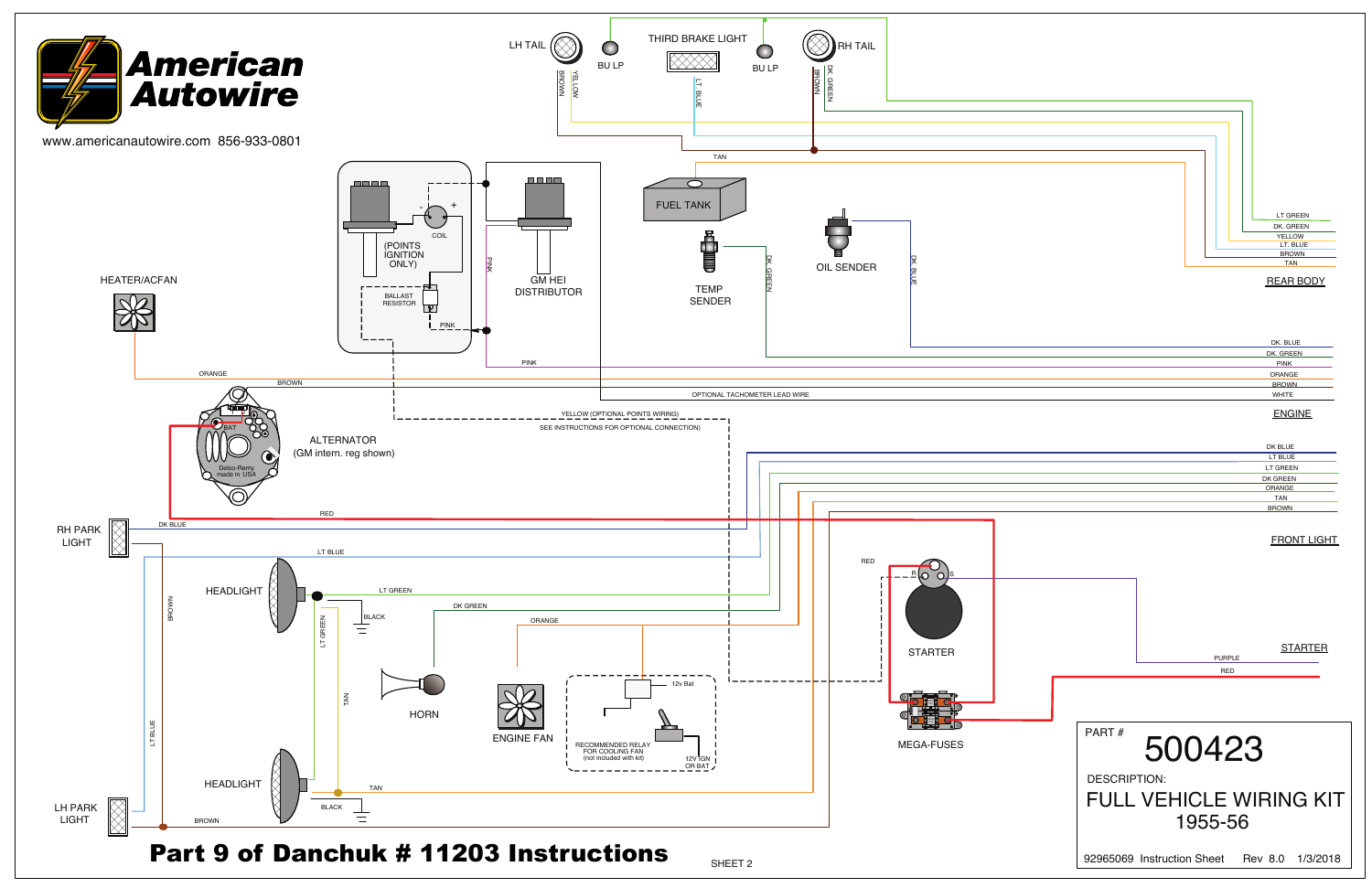PURPL RED

| DK. BLUE     |  |
|--------------|--|
| DK. GREEN    |  |
| <b>PINK</b>  |  |
| ORANGE       |  |
| <b>BROWN</b> |  |
| <b>WHITE</b> |  |
|              |  |

#### DK BLUE LT BLUE LT GREEN DK GREEN TAN BROWN ORANGE

#### **ENGINE**

SHEET 2





#### REAR BODY

FRONT LIGHT

**STARTER** 

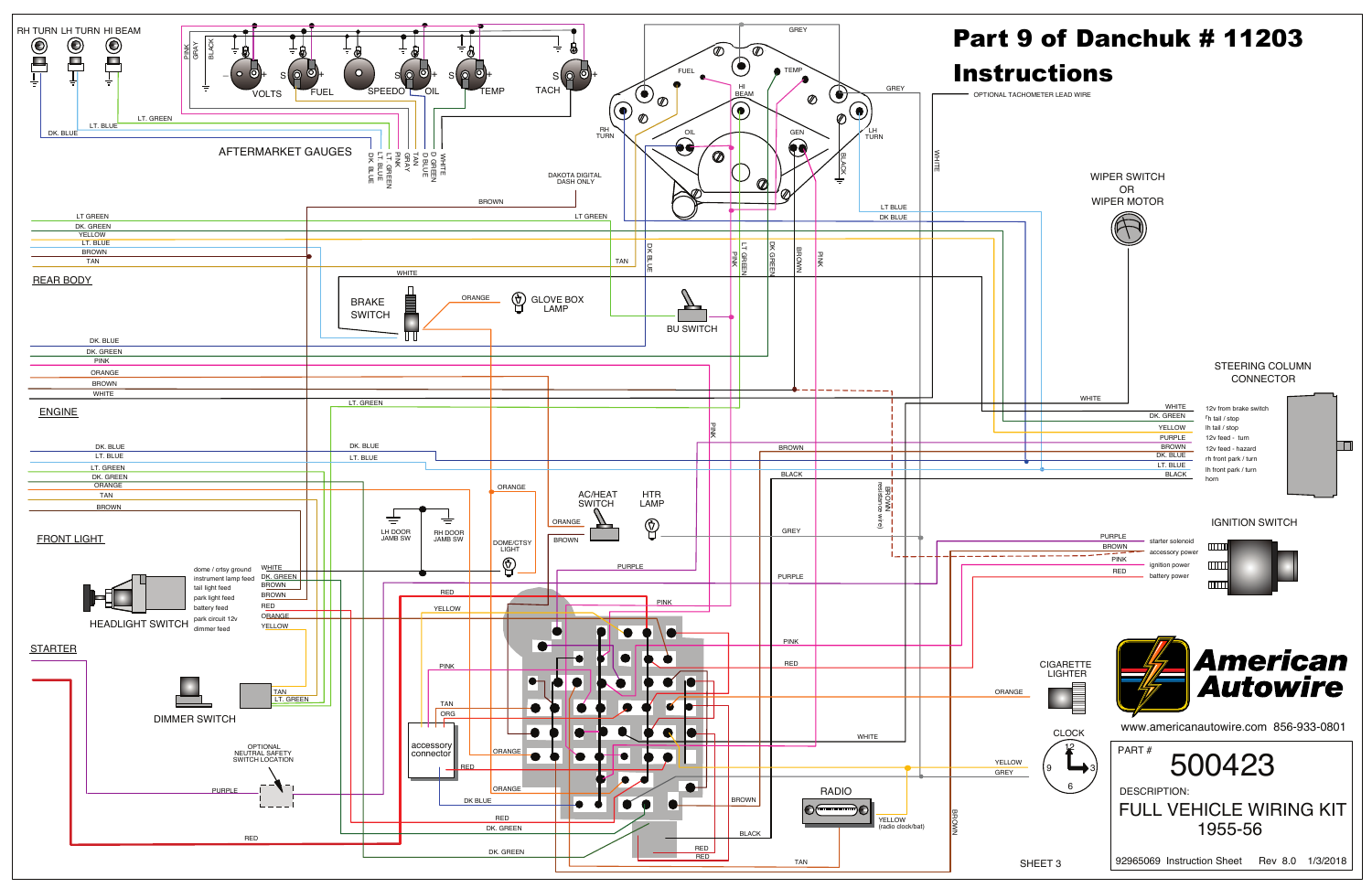

 $\Box$ 

| <b>PURPLE</b> | start            |
|---------------|------------------|
| <b>BROWN</b>  |                  |
| <b>PINK</b>   | acc <sub>e</sub> |
| <b>RED</b>    | ignit<br>batte   |
|               |                  |

FULL VEHICLE WIRING KIT